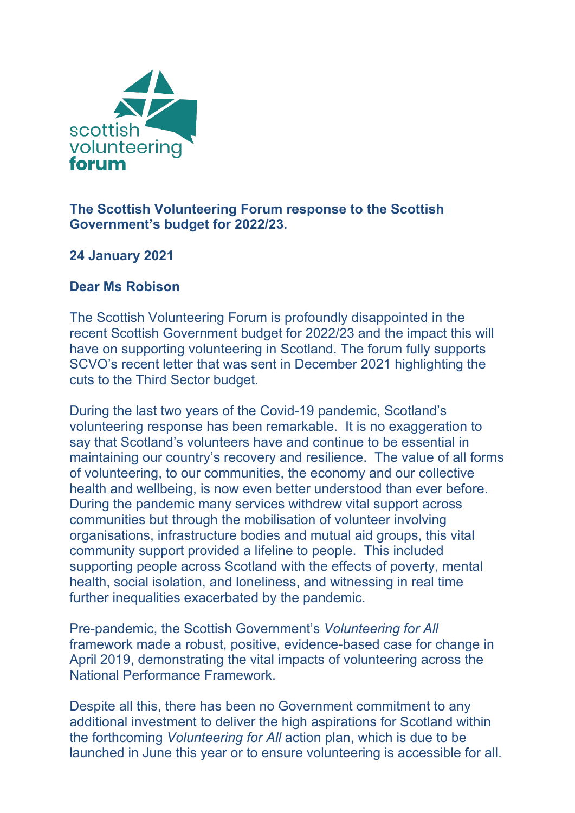

## **The Scottish Volunteering Forum response to the Scottish Government's budget for 2022/23.**

## **24 January 2021**

## **Dear Ms Robison**

The Scottish Volunteering Forum is profoundly disappointed in the recent Scottish Government budget for 2022/23 and the impact this will have on supporting volunteering in Scotland. The forum fully supports SCVO's recent letter that was sent in December 2021 highlighting the cuts to the Third Sector budget.

During the last two years of the Covid-19 pandemic, Scotland's volunteering response has been remarkable. It is no exaggeration to say that Scotland's volunteers have and continue to be essential in maintaining our country's recovery and resilience. The value of all forms of volunteering, to our communities, the economy and our collective health and wellbeing, is now even better understood than ever before. During the pandemic many services withdrew vital support across communities but through the mobilisation of volunteer involving organisations, infrastructure bodies and mutual aid groups, this vital community support provided a lifeline to people. This included supporting people across Scotland with the effects of poverty, mental health, social isolation, and loneliness, and witnessing in real time further inequalities exacerbated by the pandemic.

Pre-pandemic, the Scottish Government's *Volunteering for All* framework made a robust, positive, evidence-based case for change in April 2019, demonstrating the vital impacts of volunteering across the National Performance Framework.

Despite all this, there has been no Government commitment to any additional investment to deliver the high aspirations for Scotland within the forthcoming *Volunteering for All* action plan, which is due to be launched in June this year or to ensure volunteering is accessible for all.